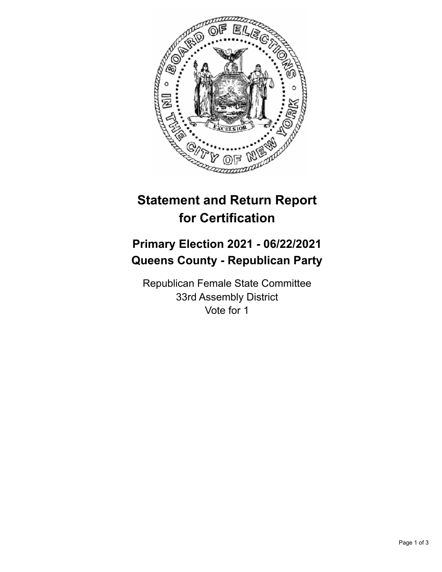

## **Statement and Return Report for Certification**

## **Primary Election 2021 - 06/22/2021 Queens County - Republican Party**

Republican Female State Committee 33rd Assembly District Vote for 1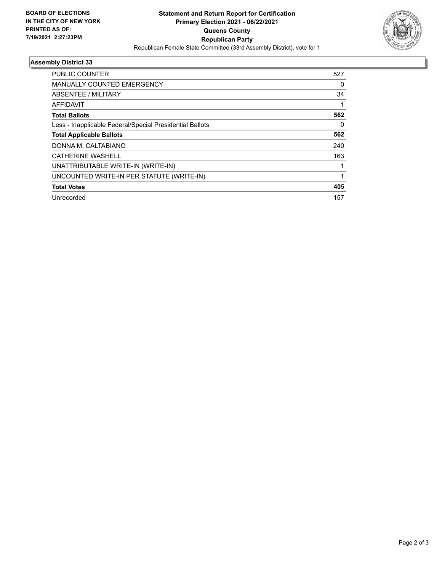

## **Assembly District 33**

| <b>PUBLIC COUNTER</b>                                    | 527 |
|----------------------------------------------------------|-----|
| <b>MANUALLY COUNTED EMERGENCY</b>                        | 0   |
| ABSENTEE / MILITARY                                      | 34  |
| AFFIDAVIT                                                |     |
| <b>Total Ballots</b>                                     | 562 |
| Less - Inapplicable Federal/Special Presidential Ballots | 0   |
| <b>Total Applicable Ballots</b>                          | 562 |
| DONNA M. CALTABIANO                                      | 240 |
| <b>CATHERINE WASHELL</b>                                 | 163 |
| UNATTRIBUTABLE WRITE-IN (WRITE-IN)                       |     |
| UNCOUNTED WRITE-IN PER STATUTE (WRITE-IN)                |     |
| <b>Total Votes</b>                                       | 405 |
| Unrecorded                                               | 157 |